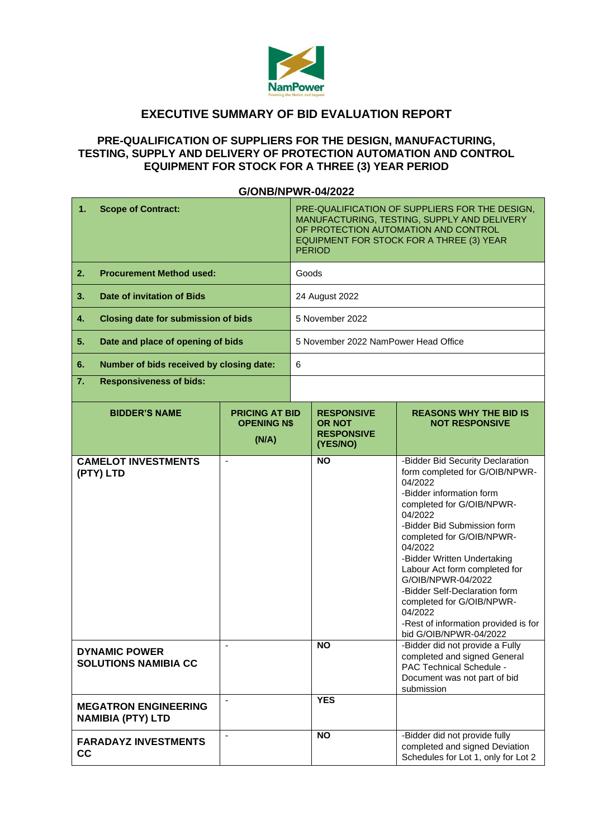

# **EXECUTIVE SUMMARY OF BID EVALUATION REPORT**

### **PRE-QUALIFICATION OF SUPPLIERS FOR THE DESIGN, MANUFACTURING, TESTING, SUPPLY AND DELIVERY OF PROTECTION AUTOMATION AND CONTROL EQUIPMENT FOR STOCK FOR A THREE (3) YEAR PERIOD**

#### **1. Scope of Contract:** PRE-QUALIFICATION OF SUPPLIERS FOR THE DESIGN, MANUFACTURING, TESTING, SUPPLY AND DELIVERY OF PROTECTION AUTOMATION AND CONTROL EQUIPMENT FOR STOCK FOR A THREE (3) YEAR PERIOD **2. Procurement Method used:** Goods **3. Date of invitation of Bids** 24 August 2022 **4. Closing date for submission of bids**  $\begin{bmatrix} 5 \end{bmatrix}$  November 2022 **5. Date and place of opening of bids** 5 November 2022 NamPower Head Office **6. Number of bids received by closing date:** 6 **7. Responsiveness of bids: BIDDER'S NAME PRICING AT BID OPENING N\$ (N/A) RESPONSIVE OR NOT RESPONSIVE (YES/NO) REASONS WHY THE BID IS NOT RESPONSIVE CAMELOT INVESTMENTS (PTY) LTD NO** -Bidder Bid Security Declaration form completed for G/OIB/NPWR-04/2022 -Bidder information form completed for G/OIB/NPWR-04/2022 -Bidder Bid Submission form completed for G/OIB/NPWR-04/2022 -Bidder Written Undertaking Labour Act form completed for G/OIB/NPWR-04/2022 -Bidder Self-Declaration form completed for G/OIB/NPWR-04/2022 -Rest of information provided is for bid G/OIB/NPWR-04/2022 **DYNAMIC POWER SOLUTIONS NAMIBIA CC NO** - Bidder did not provide a Fully completed and signed General PAC Technical Schedule - Document was not part of bid submission **MEGATRON ENGINEERING NAMIBIA (PTY) LTD** - **YES FARADAYZ INVESTMENTS CC** NO **NO** -Bidder did not provide fully completed and signed Deviation Schedules for Lot 1, only for Lot 2

### **G/ONB/NPWR-04/2022**